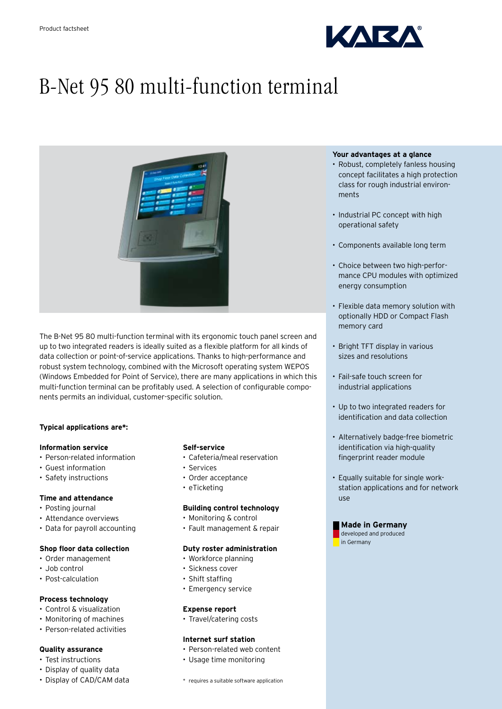

# B-Net 95 80 multi-function terminal



The B-Net 95 80 multi-function terminal with its ergonomic touch panel screen and up to two integrated readers is ideally suited as a flexible platform for all kinds of data collection or point-of-service applications. Thanks to high-performance and robust system technology, combined with the Microsoft operating system WEPOS (Windows Embedded for Point of Service), there are many applications in which this multi-function terminal can be profitably used. A selection of configurable components permits an individual, customer-specific solution.

## **Typical applications are\*:**

# **Information service**

- Person-related information
- • Guest information
- • Safety instructions

## **Time and attendance**

- Posting journal
- • Attendance overviews
- Data for payroll accounting

# **Shop floor data collection**

- • Order management
- • Job control
- Post-calculation

## **Process technology**

- Control & visualization
- • Monitoring of machines
- • Person-related activities

## **Quality assurance**

- Test instructions
- Display of quality data
- Display of CAD/CAM data

#### **Self-service**

- Cafeteria/meal reservation
- • Services
- Order acceptance
- eTicketing

#### **Building control technology**

- • Monitoring & control
- • Fault management & repair

#### **Duty roster administration**

- Workforce planning
- Sickness cover
- Shift staffing
- Emergency service

#### **Expense report**

• Travel/catering costs

## **Internet surf station**

- Person-related web content
- • Usage time monitoring

#### \* requires a suitable software application

#### **Your advantages at a glance**

- Robust, completely fanless housing concept facilitates a high protection class for rough industrial environments
- Industrial PC concept with high operational safety
- • Components available long term
- Choice between two high-performance CPU modules with optimized energy consumption
- • Flexible data memory solution with optionally HDD or Compact Flash memory card
- Bright TFT display in various sizes and resolutions
- Fail-safe touch screen for industrial applications
- • Up to two integrated readers for identification and data collection
- • Alternatively badge-free biometric identification via high-quality fingerprint reader module
- Equally suitable for single workstation applications and for network use



in Germany